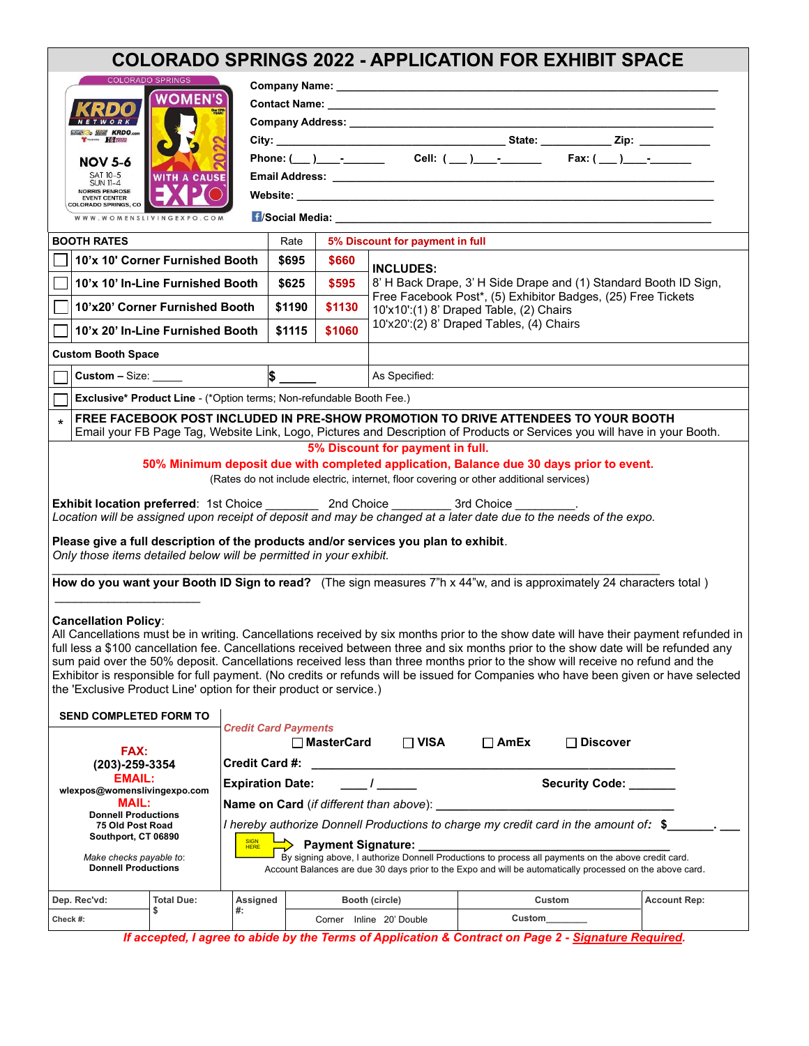| <b>COLORADO SPRINGS 2022 - APPLICATION FOR EXHIBIT SPACE</b>                                                                                                                                                                                                                                                                                                                                                                                      |                                                                                                                                                     |                                                                                                           |        |        |                                                                                                         |                                                                                                                                                                                                                                                                      |                     |  |  |
|---------------------------------------------------------------------------------------------------------------------------------------------------------------------------------------------------------------------------------------------------------------------------------------------------------------------------------------------------------------------------------------------------------------------------------------------------|-----------------------------------------------------------------------------------------------------------------------------------------------------|-----------------------------------------------------------------------------------------------------------|--------|--------|---------------------------------------------------------------------------------------------------------|----------------------------------------------------------------------------------------------------------------------------------------------------------------------------------------------------------------------------------------------------------------------|---------------------|--|--|
| <b>COLORADO SPRINGS</b>                                                                                                                                                                                                                                                                                                                                                                                                                           |                                                                                                                                                     |                                                                                                           |        |        |                                                                                                         |                                                                                                                                                                                                                                                                      |                     |  |  |
| <b>RDO</b>                                                                                                                                                                                                                                                                                                                                                                                                                                        | <b>WOMEN'S</b>                                                                                                                                      |                                                                                                           |        |        |                                                                                                         |                                                                                                                                                                                                                                                                      |                     |  |  |
| <b>ETWORK</b>                                                                                                                                                                                                                                                                                                                                                                                                                                     | Dur 17th<br>YEAR!                                                                                                                                   |                                                                                                           |        |        |                                                                                                         |                                                                                                                                                                                                                                                                      |                     |  |  |
| <b>SANT KRDO.com</b><br>$\begin{array}{c c}\n\hline\n\text{H} & \text{H} & \text{H} & \text{H} & \text{H} & \text{H} & \text{H} & \text{H} & \text{H} & \text{H} & \text{H} & \text{H} & \text{H} & \text{H} & \text{H} & \text{H} & \text{H} & \text{H} & \text{H} & \text{H} & \text{H} & \text{H} & \text{H} & \text{H} & \text{H} & \text{H} & \text{H} & \text{H} & \text{H} & \text{H} & \text{H} & \text{H} & \text{H} & \text{H} & \text$ |                                                                                                                                                     |                                                                                                           |        |        |                                                                                                         |                                                                                                                                                                                                                                                                      |                     |  |  |
| <b>NOV 5-6</b>                                                                                                                                                                                                                                                                                                                                                                                                                                    |                                                                                                                                                     |                                                                                                           |        |        |                                                                                                         |                                                                                                                                                                                                                                                                      |                     |  |  |
| SAT 10-5<br><b>SUN 11-4</b>                                                                                                                                                                                                                                                                                                                                                                                                                       | <b>WITH A CAUSE</b>                                                                                                                                 |                                                                                                           |        |        |                                                                                                         |                                                                                                                                                                                                                                                                      |                     |  |  |
| <b>NORRIS PENROSE</b><br><b>EVENT CENTER</b><br>COLORADO SPRINGS, CO                                                                                                                                                                                                                                                                                                                                                                              |                                                                                                                                                     |                                                                                                           |        |        |                                                                                                         |                                                                                                                                                                                                                                                                      |                     |  |  |
| WWW.WOMENSLIVINGEXPO.COM                                                                                                                                                                                                                                                                                                                                                                                                                          |                                                                                                                                                     |                                                                                                           |        |        |                                                                                                         |                                                                                                                                                                                                                                                                      |                     |  |  |
| <b>BOOTH RATES</b>                                                                                                                                                                                                                                                                                                                                                                                                                                |                                                                                                                                                     |                                                                                                           | Rate   |        | 5% Discount for payment in full                                                                         |                                                                                                                                                                                                                                                                      |                     |  |  |
|                                                                                                                                                                                                                                                                                                                                                                                                                                                   | 10'x 10' Corner Furnished Booth                                                                                                                     |                                                                                                           | \$695  | \$660  |                                                                                                         |                                                                                                                                                                                                                                                                      |                     |  |  |
|                                                                                                                                                                                                                                                                                                                                                                                                                                                   | 10'x 10' In-Line Furnished Booth                                                                                                                    |                                                                                                           | \$625  | \$595  |                                                                                                         | <b>INCLUDES:</b><br>8' H Back Drape, 3' H Side Drape and (1) Standard Booth ID Sign,                                                                                                                                                                                 |                     |  |  |
|                                                                                                                                                                                                                                                                                                                                                                                                                                                   | 10'x20' Corner Furnished Booth                                                                                                                      |                                                                                                           | \$1190 | \$1130 | Free Facebook Post*, (5) Exhibitor Badges, (25) Free Tickets<br>10'x10':(1) 8' Draped Table, (2) Chairs |                                                                                                                                                                                                                                                                      |                     |  |  |
| 10'x 20' In-Line Furnished Booth                                                                                                                                                                                                                                                                                                                                                                                                                  |                                                                                                                                                     |                                                                                                           | \$1115 | \$1060 |                                                                                                         | 10'x20':(2) 8' Draped Tables, (4) Chairs                                                                                                                                                                                                                             |                     |  |  |
| <b>Custom Booth Space</b>                                                                                                                                                                                                                                                                                                                                                                                                                         |                                                                                                                                                     |                                                                                                           |        |        |                                                                                                         |                                                                                                                                                                                                                                                                      |                     |  |  |
| $\frac{1}{2}$<br>Custom $-$ Size: $\_\_$                                                                                                                                                                                                                                                                                                                                                                                                          |                                                                                                                                                     |                                                                                                           |        |        | As Specified:                                                                                           |                                                                                                                                                                                                                                                                      |                     |  |  |
| Exclusive* Product Line - (*Option terms; Non-refundable Booth Fee.)                                                                                                                                                                                                                                                                                                                                                                              |                                                                                                                                                     |                                                                                                           |        |        |                                                                                                         |                                                                                                                                                                                                                                                                      |                     |  |  |
| $\star$                                                                                                                                                                                                                                                                                                                                                                                                                                           |                                                                                                                                                     |                                                                                                           |        |        |                                                                                                         | FREE FACEBOOK POST INCLUDED IN PRE-SHOW PROMOTION TO DRIVE ATTENDEES TO YOUR BOOTH<br>Email your FB Page Tag, Website Link, Logo, Pictures and Description of Products or Services you will have in your Booth.                                                      |                     |  |  |
|                                                                                                                                                                                                                                                                                                                                                                                                                                                   |                                                                                                                                                     |                                                                                                           |        |        | 5% Discount for payment in full.                                                                        |                                                                                                                                                                                                                                                                      |                     |  |  |
|                                                                                                                                                                                                                                                                                                                                                                                                                                                   |                                                                                                                                                     |                                                                                                           |        |        |                                                                                                         | 50% Minimum deposit due with completed application, Balance due 30 days prior to event.                                                                                                                                                                              |                     |  |  |
|                                                                                                                                                                                                                                                                                                                                                                                                                                                   |                                                                                                                                                     |                                                                                                           |        |        |                                                                                                         | (Rates do not include electric, internet, floor covering or other additional services)                                                                                                                                                                               |                     |  |  |
|                                                                                                                                                                                                                                                                                                                                                                                                                                                   |                                                                                                                                                     |                                                                                                           |        |        |                                                                                                         |                                                                                                                                                                                                                                                                      |                     |  |  |
| Location will be assigned upon receipt of deposit and may be changed at a later date due to the needs of the expo.                                                                                                                                                                                                                                                                                                                                |                                                                                                                                                     |                                                                                                           |        |        |                                                                                                         |                                                                                                                                                                                                                                                                      |                     |  |  |
| Please give a full description of the products and/or services you plan to exhibit.<br>Only those items detailed below will be permitted in your exhibit.                                                                                                                                                                                                                                                                                         |                                                                                                                                                     |                                                                                                           |        |        |                                                                                                         |                                                                                                                                                                                                                                                                      |                     |  |  |
|                                                                                                                                                                                                                                                                                                                                                                                                                                                   |                                                                                                                                                     |                                                                                                           |        |        |                                                                                                         |                                                                                                                                                                                                                                                                      |                     |  |  |
| How do you want your Booth ID Sign to read? (The sign measures 7"h x 44"w, and is approximately 24 characters total)                                                                                                                                                                                                                                                                                                                              |                                                                                                                                                     |                                                                                                           |        |        |                                                                                                         |                                                                                                                                                                                                                                                                      |                     |  |  |
| <b>Cancellation Policy:</b>                                                                                                                                                                                                                                                                                                                                                                                                                       |                                                                                                                                                     |                                                                                                           |        |        |                                                                                                         |                                                                                                                                                                                                                                                                      |                     |  |  |
| All Cancellations must be in writing. Cancellations received by six months prior to the show date will have their payment refunded in                                                                                                                                                                                                                                                                                                             |                                                                                                                                                     |                                                                                                           |        |        |                                                                                                         |                                                                                                                                                                                                                                                                      |                     |  |  |
|                                                                                                                                                                                                                                                                                                                                                                                                                                                   |                                                                                                                                                     |                                                                                                           |        |        |                                                                                                         | full less a \$100 cancellation fee. Cancellations received between three and six months prior to the show date will be refunded any<br>sum paid over the 50% deposit. Cancellations received less than three months prior to the show will receive no refund and the |                     |  |  |
|                                                                                                                                                                                                                                                                                                                                                                                                                                                   |                                                                                                                                                     |                                                                                                           |        |        |                                                                                                         | Exhibitor is responsible for full payment. (No credits or refunds will be issued for Companies who have been given or have selected                                                                                                                                  |                     |  |  |
| the 'Exclusive Product Line' option for their product or service.)                                                                                                                                                                                                                                                                                                                                                                                |                                                                                                                                                     |                                                                                                           |        |        |                                                                                                         |                                                                                                                                                                                                                                                                      |                     |  |  |
| <b>SEND COMPLETED FORM TO</b>                                                                                                                                                                                                                                                                                                                                                                                                                     |                                                                                                                                                     |                                                                                                           |        |        |                                                                                                         |                                                                                                                                                                                                                                                                      |                     |  |  |
|                                                                                                                                                                                                                                                                                                                                                                                                                                                   |                                                                                                                                                     | <b>Credit Card Payments</b>                                                                               |        |        | $\Box$ VISA                                                                                             | $\Box$ AmEx<br>$\Box$ Discover                                                                                                                                                                                                                                       |                     |  |  |
| FAX:                                                                                                                                                                                                                                                                                                                                                                                                                                              |                                                                                                                                                     | $\Box$ MasterCard<br><b>Credit Card #:</b>                                                                |        |        |                                                                                                         |                                                                                                                                                                                                                                                                      |                     |  |  |
| (203)-259-3354<br><b>EMAIL:</b>                                                                                                                                                                                                                                                                                                                                                                                                                   |                                                                                                                                                     |                                                                                                           |        |        |                                                                                                         |                                                                                                                                                                                                                                                                      |                     |  |  |
| wlexpos@womenslivingexpo.com<br><b>MAIL:</b><br><b>Donnell Productions</b><br>75 Old Post Road<br>Southport, CT 06890                                                                                                                                                                                                                                                                                                                             |                                                                                                                                                     | Security Code: ______<br>$\mathcal{L}$<br><b>Expiration Date:</b>                                         |        |        |                                                                                                         |                                                                                                                                                                                                                                                                      |                     |  |  |
|                                                                                                                                                                                                                                                                                                                                                                                                                                                   |                                                                                                                                                     | Name on Card (if different than above): _                                                                 |        |        |                                                                                                         |                                                                                                                                                                                                                                                                      |                     |  |  |
|                                                                                                                                                                                                                                                                                                                                                                                                                                                   |                                                                                                                                                     | I hereby authorize Donnell Productions to charge my credit card in the amount of: \$                      |        |        |                                                                                                         |                                                                                                                                                                                                                                                                      |                     |  |  |
|                                                                                                                                                                                                                                                                                                                                                                                                                                                   | — Payment Signature: ________<br><b>HERE</b><br>By signing above, I authorize Donnell Productions to process all payments on the above credit card. |                                                                                                           |        |        |                                                                                                         |                                                                                                                                                                                                                                                                      |                     |  |  |
| Make checks payable to:<br><b>Donnell Productions</b>                                                                                                                                                                                                                                                                                                                                                                                             |                                                                                                                                                     | Account Balances are due 30 days prior to the Expo and will be automatically processed on the above card. |        |        |                                                                                                         |                                                                                                                                                                                                                                                                      |                     |  |  |
| Dep. Rec'vd:                                                                                                                                                                                                                                                                                                                                                                                                                                      | <b>Total Due:</b>                                                                                                                                   | Assigned                                                                                                  |        |        | Booth (circle)                                                                                          | Custom                                                                                                                                                                                                                                                               | <b>Account Rep:</b> |  |  |
| Check #:                                                                                                                                                                                                                                                                                                                                                                                                                                          | \$                                                                                                                                                  | #:                                                                                                        |        |        | Corner Inline 20' Double                                                                                | <b>Custom</b>                                                                                                                                                                                                                                                        |                     |  |  |
|                                                                                                                                                                                                                                                                                                                                                                                                                                                   |                                                                                                                                                     |                                                                                                           |        |        |                                                                                                         |                                                                                                                                                                                                                                                                      |                     |  |  |

*If accepted, I agree to abide by the Terms of Application & Contract on Page 2 - Signature Required.*